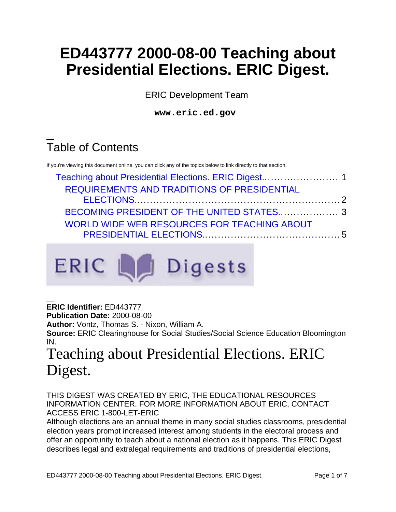# **ED443777 2000-08-00 Teaching about Presidential Elections. ERIC Digest.**

ERIC Development Team

**www.eric.ed.gov**

# Table of Contents

If you're viewing this document online, you can click any of the topics below to link directly to that section.

| REQUIREMENTS AND TRADITIONS OF PRESIDENTIAL |  |
|---------------------------------------------|--|
|                                             |  |
|                                             |  |
| WORLD WIDE WEB RESOURCES FOR TEACHING ABOUT |  |
|                                             |  |



**ERIC Identifier:** ED443777

**Publication Date:** 2000-08-00

**Author:** Vontz, Thomas S. - Nixon, William A.

**Source:** ERIC Clearinghouse for Social Studies/Social Science Education Bloomington IN.

# <span id="page-0-0"></span>Teaching about Presidential Elections. ERIC Digest.

THIS DIGEST WAS CREATED BY ERIC, THE EDUCATIONAL RESOURCES INFORMATION CENTER. FOR MORE INFORMATION ABOUT ERIC, CONTACT ACCESS ERIC 1-800-LET-ERIC

Although elections are an annual theme in many social studies classrooms, presidential election years prompt increased interest among students in the electoral process and offer an opportunity to teach about a national election as it happens. This ERIC Digest describes legal and extralegal requirements and traditions of presidential elections,

ED443777 2000-08-00 Teaching about Presidential Elections. ERIC Digest. Page 1 of 7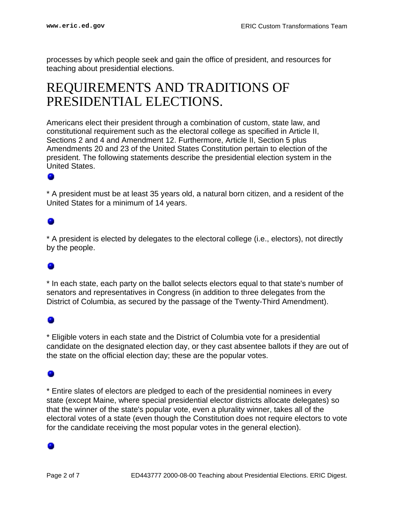processes by which people seek and gain the office of president, and resources for teaching about presidential elections.

## <span id="page-1-0"></span>REQUIREMENTS AND TRADITIONS OF PRESIDENTIAL ELECTIONS.

Americans elect their president through a combination of custom, state law, and constitutional requirement such as the electoral college as specified in Article II, Sections 2 and 4 and Amendment 12. Furthermore, Article II, Section 5 plus Amendments 20 and 23 of the United States Constitution pertain to election of the president. The following statements describe the presidential election system in the United States.

\* A president must be at least 35 years old, a natural born citizen, and a resident of the United States for a minimum of 14 years.

\* A president is elected by delegates to the electoral college (i.e., electors), not directly by the people.

\* In each state, each party on the ballot selects electors equal to that state's number of senators and representatives in Congress (in addition to three delegates from the District of Columbia, as secured by the passage of the Twenty-Third Amendment).

### ۰

\* Eligible voters in each state and the District of Columbia vote for a presidential candidate on the designated election day, or they cast absentee ballots if they are out of the state on the official election day; these are the popular votes.

### ۰

\* Entire slates of electors are pledged to each of the presidential nominees in every state (except Maine, where special presidential elector districts allocate delegates) so that the winner of the state's popular vote, even a plurality winner, takes all of the electoral votes of a state (even though the Constitution does not require electors to vote for the candidate receiving the most popular votes in the general election).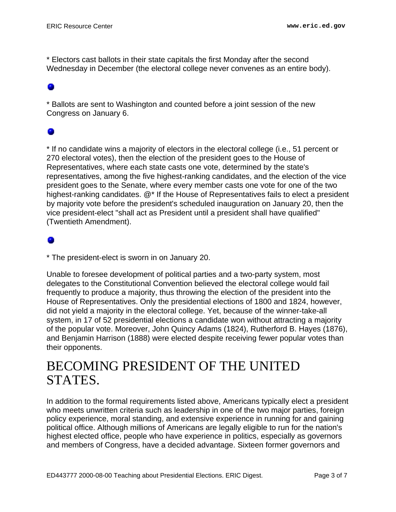\* Electors cast ballots in their state capitals the first Monday after the second Wednesday in December (the electoral college never convenes as an entire body).

### ۰

\* Ballots are sent to Washington and counted before a joint session of the new Congress on January 6.

### ۰

\* If no candidate wins a majority of electors in the electoral college (i.e., 51 percent or 270 electoral votes), then the election of the president goes to the House of Representatives, where each state casts one vote, determined by the state's representatives, among the five highest-ranking candidates, and the election of the vice president goes to the Senate, where every member casts one vote for one of the two highest-ranking candidates. @\* If the House of Representatives fails to elect a president by majority vote before the president's scheduled inauguration on January 20, then the vice president-elect "shall act as President until a president shall have qualified" (Twentieth Amendment).

\* The president-elect is sworn in on January 20.

Unable to foresee development of political parties and a two-party system, most delegates to the Constitutional Convention believed the electoral college would fail frequently to produce a majority, thus throwing the election of the president into the House of Representatives. Only the presidential elections of 1800 and 1824, however, did not yield a majority in the electoral college. Yet, because of the winner-take-all system, in 17 of 52 presidential elections a candidate won without attracting a majority of the popular vote. Moreover, John Quincy Adams (1824), Rutherford B. Hayes (1876), and Benjamin Harrison (1888) were elected despite receiving fewer popular votes than their opponents.

## <span id="page-2-0"></span>BECOMING PRESIDENT OF THE UNITED STATES.

In addition to the formal requirements listed above, Americans typically elect a president who meets unwritten criteria such as leadership in one of the two major parties, foreign policy experience, moral standing, and extensive experience in running for and gaining political office. Although millions of Americans are legally eligible to run for the nation's highest elected office, people who have experience in politics, especially as governors and members of Congress, have a decided advantage. Sixteen former governors and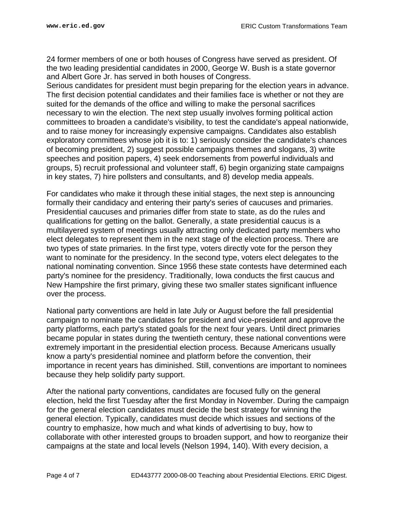24 former members of one or both houses of Congress have served as president. Of the two leading presidential candidates in 2000, George W. Bush is a state governor and Albert Gore Jr. has served in both houses of Congress.

Serious candidates for president must begin preparing for the election years in advance. The first decision potential candidates and their families face is whether or not they are suited for the demands of the office and willing to make the personal sacrifices necessary to win the election. The next step usually involves forming political action committees to broaden a candidate's visibility, to test the candidate's appeal nationwide, and to raise money for increasingly expensive campaigns. Candidates also establish exploratory committees whose job it is to: 1) seriously consider the candidate's chances of becoming president, 2) suggest possible campaigns themes and slogans, 3) write speeches and position papers, 4) seek endorsements from powerful individuals and groups, 5) recruit professional and volunteer staff, 6) begin organizing state campaigns in key states, 7) hire pollsters and consultants, and 8) develop media appeals.

For candidates who make it through these initial stages, the next step is announcing formally their candidacy and entering their party's series of caucuses and primaries. Presidential caucuses and primaries differ from state to state, as do the rules and qualifications for getting on the ballot. Generally, a state presidential caucus is a multilayered system of meetings usually attracting only dedicated party members who elect delegates to represent them in the next stage of the election process. There are two types of state primaries. In the first type, voters directly vote for the person they want to nominate for the presidency. In the second type, voters elect delegates to the national nominating convention. Since 1956 these state contests have determined each party's nominee for the presidency. Traditionally, Iowa conducts the first caucus and New Hampshire the first primary, giving these two smaller states significant influence over the process.

National party conventions are held in late July or August before the fall presidential campaign to nominate the candidates for president and vice-president and approve the party platforms, each party's stated goals for the next four years. Until direct primaries became popular in states during the twentieth century, these national conventions were extremely important in the presidential election process. Because Americans usually know a party's presidential nominee and platform before the convention, their importance in recent years has diminished. Still, conventions are important to nominees because they help solidify party support.

After the national party conventions, candidates are focused fully on the general election, held the first Tuesday after the first Monday in November. During the campaign for the general election candidates must decide the best strategy for winning the general election. Typically, candidates must decide which issues and sections of the country to emphasize, how much and what kinds of advertising to buy, how to collaborate with other interested groups to broaden support, and how to reorganize their campaigns at the state and local levels (Nelson 1994, 140). With every decision, a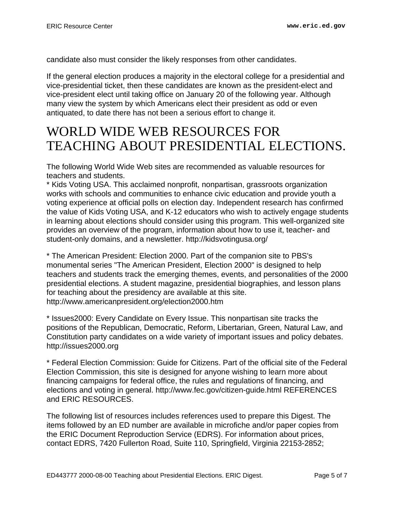candidate also must consider the likely responses from other candidates.

If the general election produces a majority in the electoral college for a presidential and vice-presidential ticket, then these candidates are known as the president-elect and vice-president elect until taking office on January 20 of the following year. Although many view the system by which Americans elect their president as odd or even antiquated, to date there has not been a serious effort to change it.

## <span id="page-4-0"></span>WORLD WIDE WEB RESOURCES FOR TEACHING ABOUT PRESIDENTIAL ELECTIONS.

The following World Wide Web sites are recommended as valuable resources for teachers and students.

\* Kids Voting USA. This acclaimed nonprofit, nonpartisan, grassroots organization works with schools and communities to enhance civic education and provide youth a voting experience at official polls on election day. Independent research has confirmed the value of Kids Voting USA, and K-12 educators who wish to actively engage students in learning about elections should consider using this program. This well-organized site provides an overview of the program, information about how to use it, teacher- and student-only domains, and a newsletter. http://kidsvotingusa.org/

\* The American President: Election 2000. Part of the companion site to PBS's monumental series "The American President, Election 2000" is designed to help teachers and students track the emerging themes, events, and personalities of the 2000 presidential elections. A student magazine, presidential biographies, and lesson plans for teaching about the presidency are available at this site. http://www.americanpresident.org/election2000.htm

\* Issues2000: Every Candidate on Every Issue. This nonpartisan site tracks the positions of the Republican, Democratic, Reform, Libertarian, Green, Natural Law, and Constitution party candidates on a wide variety of important issues and policy debates. http://issues2000.org

\* Federal Election Commission: Guide for Citizens. Part of the official site of the Federal Election Commission, this site is designed for anyone wishing to learn more about financing campaigns for federal office, the rules and regulations of financing, and elections and voting in general. http://www.fec.gov/citizen-guide.html REFERENCES and ERIC RESOURCES.

The following list of resources includes references used to prepare this Digest. The items followed by an ED number are available in microfiche and/or paper copies from the ERIC Document Reproduction Service (EDRS). For information about prices, contact EDRS, 7420 Fullerton Road, Suite 110, Springfield, Virginia 22153-2852;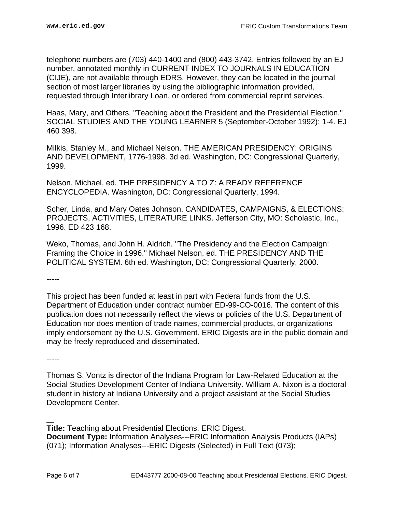telephone numbers are (703) 440-1400 and (800) 443-3742. Entries followed by an EJ number, annotated monthly in CURRENT INDEX TO JOURNALS IN EDUCATION (CIJE), are not available through EDRS. However, they can be located in the journal section of most larger libraries by using the bibliographic information provided, requested through Interlibrary Loan, or ordered from commercial reprint services.

Haas, Mary, and Others. "Teaching about the President and the Presidential Election." SOCIAL STUDIES AND THE YOUNG LEARNER 5 (September-October 1992): 1-4. EJ 460 398.

Milkis, Stanley M., and Michael Nelson. THE AMERICAN PRESIDENCY: ORIGINS AND DEVELOPMENT, 1776-1998. 3d ed. Washington, DC: Congressional Quarterly, 1999.

Nelson, Michael, ed. THE PRESIDENCY A TO Z: A READY REFERENCE ENCYCLOPEDIA. Washington, DC: Congressional Quarterly, 1994.

Scher, Linda, and Mary Oates Johnson. CANDIDATES, CAMPAIGNS, & ELECTIONS: PROJECTS, ACTIVITIES, LITERATURE LINKS. Jefferson City, MO: Scholastic, Inc., 1996. ED 423 168.

Weko, Thomas, and John H. Aldrich. "The Presidency and the Election Campaign: Framing the Choice in 1996." Michael Nelson, ed. THE PRESIDENCY AND THE POLITICAL SYSTEM. 6th ed. Washington, DC: Congressional Quarterly, 2000.

-----

This project has been funded at least in part with Federal funds from the U.S. Department of Education under contract number ED-99-CO-0016. The content of this publication does not necessarily reflect the views or policies of the U.S. Department of Education nor does mention of trade names, commercial products, or organizations imply endorsement by the U.S. Government. ERIC Digests are in the public domain and may be freely reproduced and disseminated.

-----

Thomas S. Vontz is director of the Indiana Program for Law-Related Education at the Social Studies Development Center of Indiana University. William A. Nixon is a doctoral student in history at Indiana University and a project assistant at the Social Studies Development Center.

**Title:** Teaching about Presidential Elections. ERIC Digest. **Document Type:** Information Analyses---ERIC Information Analysis Products (IAPs) (071); Information Analyses---ERIC Digests (Selected) in Full Text (073);